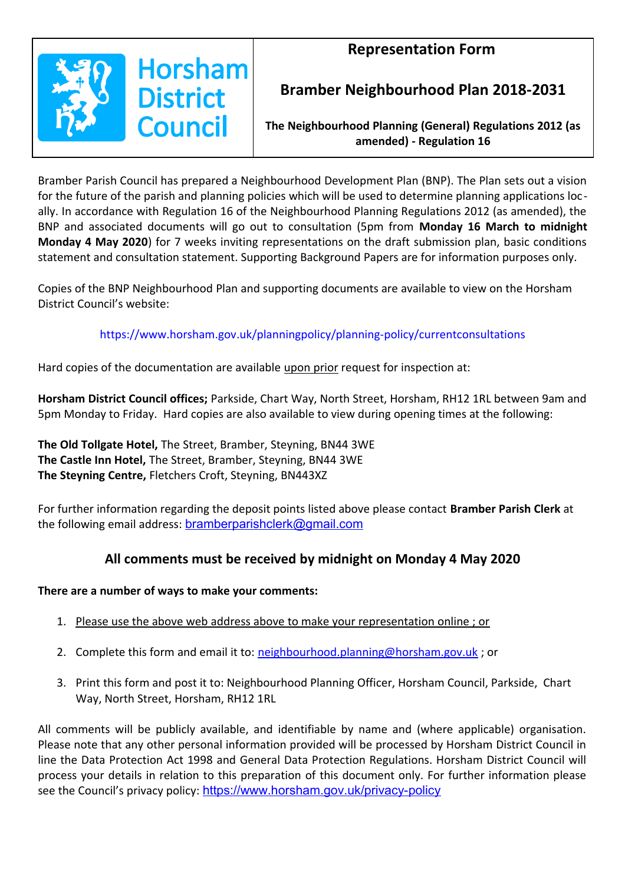## **Representation Form**



## **Bramber Neighbourhood Plan 2018-2031**

**The Neighbourhood Planning (General) Regulations 2012 (as amended) - Regulation 16**

Bramber Parish Council has prepared a Neighbourhood Development Plan (BNP). The Plan sets out a vision for the future of the parish and planning policies which will be used to determine planning applications locally. In accordance with Regulation 16 of the Neighbourhood Planning Regulations 2012 (as amended), the BNP and associated documents will go out to consultation (5pm from **Monday 16 March to midnight Monday 4 May 2020**) for 7 weeks inviting representations on the draft submission plan, basic conditions statement and consultation statement. Supporting Background Papers are for information purposes only.

Copies of the BNP Neighbourhood Plan and supporting documents are available to view on the Horsham District Council's website:

### https://www.horsham.gov.uk/planningpolicy/planning-policy/currentconsultations

Hard copies of the documentation are available upon prior request for inspection at:

**Horsham District Council offices;** Parkside, Chart Way, North Street, Horsham, RH12 1RL between 9am and 5pm Monday to Friday.Hard copies are also available to view during opening times at the following:

**The Old Tollgate Hotel,** The Street, Bramber, Steyning, BN44 3WE **The Castle Inn Hotel,** The Street, Bramber, Steyning, BN44 3WE **The Steyning Centre,** Fletchers Croft, Steyning, BN443XZ

For further information regarding the deposit points listed above please contact **Bramber Parish Clerk** at the following email address: **[bramberparishclerk@gmail.com](mailto:bramberparishclerk@gmail.com)** 

## **All comments must be received by midnight on Monday 4 May 2020**

### **There are a number of ways to make your comments:**

- 1. Please use the above web address above to make your representation online ; or
- 2. Complete this form and email it to: [neighbourhood.planning@horsham.gov.uk](mailto:neighbourhood.planning@horsham.gov.uk); or
- 3. Print this form and post it to: Neighbourhood Planning Officer, Horsham Council, Parkside, Chart Way, North Street, Horsham, RH12 1RL

All comments will be publicly available, and identifiable by name and (where applicable) organisation. Please note that any other personal information provided will be processed by Horsham District Council in line the Data Protection Act 1998 and General Data Protection Regulations. Horsham District Council will process your details in relation to this preparation of this document only. For further information please see the Council's privacy policy: <https://www.horsham.gov.uk/privacy-policy>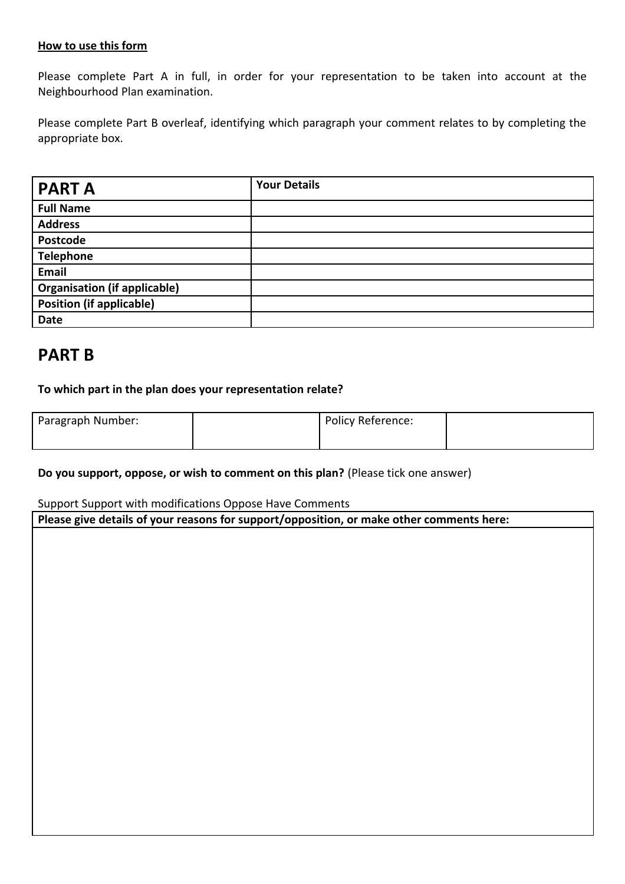#### **How to use this form**

Please complete Part A in full, in order for your representation to be taken into account at the Neighbourhood Plan examination.

Please complete Part B overleaf, identifying which paragraph your comment relates to by completing the appropriate box.

| <b>PART A</b>                       | <b>Your Details</b> |
|-------------------------------------|---------------------|
| <b>Full Name</b>                    |                     |
| <b>Address</b>                      |                     |
| Postcode                            |                     |
| <b>Telephone</b>                    |                     |
| Email                               |                     |
| <b>Organisation (if applicable)</b> |                     |
| <b>Position (if applicable)</b>     |                     |
| Date                                |                     |

# **PART B**

**To which part in the plan does your representation relate?**

| Paragraph Number: | Policy Reference: |  |
|-------------------|-------------------|--|
|                   |                   |  |

**Do you support, oppose, or wish to comment on this plan?** (Please tick one answer)

Support Support with modifications Oppose Have Comments

**Please give details of your reasons for support/opposition, or make other comments here:**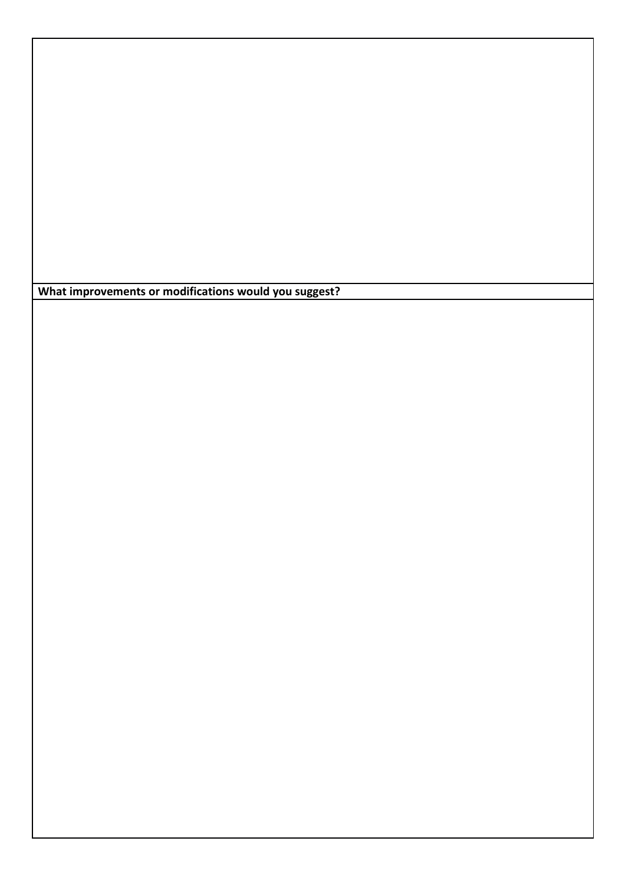**What improvements or modifications would you suggest?**